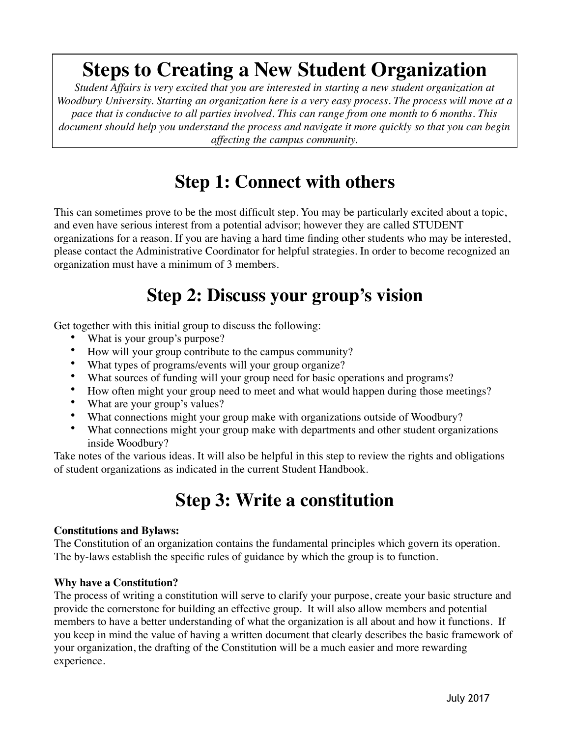# **Steps to Creating a New Student Organization**

*Student Affairs is very excited that you are interested in starting a new student organization at Woodbury University. Starting an organization here is a very easy process. The process will move at a pace that is conducive to all parties involved. This can range from one month to 6 months. This document should help you understand the process and navigate it more quickly so that you can begin affecting the campus community.*

## **Step 1: Connect with others**

This can sometimes prove to be the most difficult step. You may be particularly excited about a topic, and even have serious interest from a potential advisor; however they are called STUDENT organizations for a reason. If you are having a hard time finding other students who may be interested, please contact the Administrative Coordinator for helpful strategies. In order to become recognized an organization must have a minimum of 3 members.

### **Step 2: Discuss your group's vision**

Get together with this initial group to discuss the following:

- What is your group's purpose?
- How will your group contribute to the campus community?
- What types of programs/events will your group organize?
- What sources of funding will your group need for basic operations and programs?
- How often might your group need to meet and what would happen during those meetings?
- What are your group's values?
- What connections might your group make with organizations outside of Woodbury?
- What connections might your group make with departments and other student organizations inside Woodbury?

Take notes of the various ideas. It will also be helpful in this step to review the rights and obligations of student organizations as indicated in the current Student Handbook.

# **Step 3: Write a constitution**

#### **Constitutions and Bylaws:**

The Constitution of an organization contains the fundamental principles which govern its operation. The by-laws establish the specific rules of guidance by which the group is to function.

#### **Why have a Constitution?**

The process of writing a constitution will serve to clarify your purpose, create your basic structure and provide the cornerstone for building an effective group. It will also allow members and potential members to have a better understanding of what the organization is all about and how it functions. If you keep in mind the value of having a written document that clearly describes the basic framework of your organization, the drafting of the Constitution will be a much easier and more rewarding experience.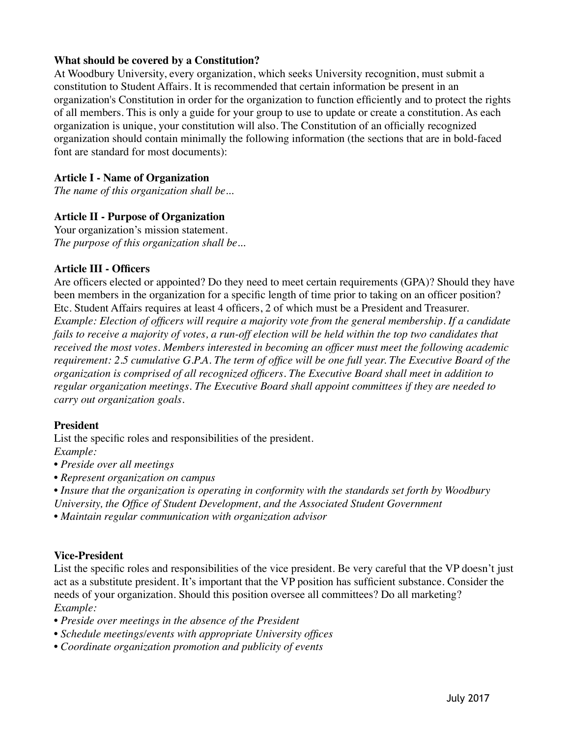#### **What should be covered by a Constitution?**

At Woodbury University, every organization, which seeks University recognition, must submit a constitution to Student Affairs. It is recommended that certain information be present in an organization's Constitution in order for the organization to function efficiently and to protect the rights of all members. This is only a guide for your group to use to update or create a constitution. As each organization is unique, your constitution will also. The Constitution of an officially recognized organization should contain minimally the following information (the sections that are in bold-faced font are standard for most documents):

#### **Article I - Name of Organization**

*The name of this organization shall be...*

#### **Article II - Purpose of Organization**

Your organization's mission statement. *The purpose of this organization shall be...* 

#### **Article III - Officers**

Are officers elected or appointed? Do they need to meet certain requirements (GPA)? Should they have been members in the organization for a specific length of time prior to taking on an officer position? Etc. Student Affairs requires at least 4 officers, 2 of which must be a President and Treasurer. *Example: Election of officers will require a majority vote from the general membership. If a candidate*  fails to receive a majority of votes, a run-off election will be held within the top two candidates that *received the most votes. Members interested in becoming an officer must meet the following academic requirement: 2.5 cumulative G.P.A. The term of office will be one full year. The Executive Board of the organization is comprised of all recognized officers. The Executive Board shall meet in addition to regular organization meetings. The Executive Board shall appoint committees if they are needed to carry out organization goals.* 

#### **President**

List the specific roles and responsibilities of the president. *Example:*

*• Preside over all meetings*

*• Represent organization on campus*

*• Insure that the organization is operating in conformity with the standards set forth by Woodbury University, the Office of Student Development, and the Associated Student Government* 

*• Maintain regular communication with organization advisor*

#### **Vice-President**

List the specific roles and responsibilities of the vice president. Be very careful that the VP doesn't just act as a substitute president. It's important that the VP position has sufficient substance. Consider the needs of your organization. Should this position oversee all committees? Do all marketing? *Example:*

- *Preside over meetings in the absence of the President*
- *Schedule meetings/events with appropriate University offices*
- *Coordinate organization promotion and publicity of events*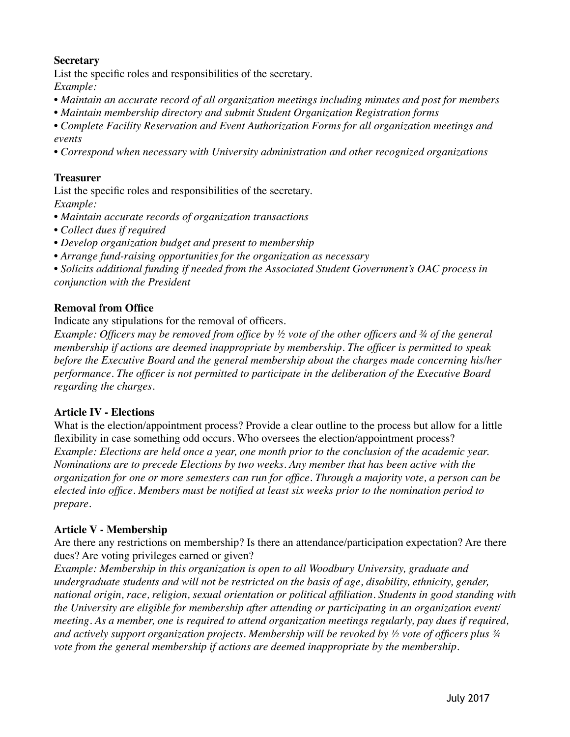#### **Secretary**

List the specific roles and responsibilities of the secretary. *Example:*

- *Maintain an accurate record of all organization meetings including minutes and post for members*
- *Maintain membership directory and submit Student Organization Registration forms*

*• Complete Facility Reservation and Event Authorization Forms for all organization meetings and events*

*• Correspond when necessary with University administration and other recognized organizations*

#### **Treasurer**

List the specific roles and responsibilities of the secretary. *Example:*

- *Maintain accurate records of organization transactions*
- *Collect dues if required*
- *Develop organization budget and present to membership*
- *Arrange fund-raising opportunities for the organization as necessary*

*• Solicits additional funding if needed from the Associated Student Government's OAC process in conjunction with the President* 

#### **Removal from Office**

Indicate any stipulations for the removal of officers.

*Example: Officers may be removed from office by ½ vote of the other officers and ¾ of the general membership if actions are deemed inappropriate by membership. The officer is permitted to speak before the Executive Board and the general membership about the charges made concerning his/her performance. The officer is not permitted to participate in the deliberation of the Executive Board regarding the charges.*

#### **Article IV - Elections**

What is the election/appointment process? Provide a clear outline to the process but allow for a little flexibility in case something odd occurs. Who oversees the election/appointment process? *Example: Elections are held once a year, one month prior to the conclusion of the academic year. Nominations are to precede Elections by two weeks. Any member that has been active with the organization for one or more semesters can run for office. Through a majority vote, a person can be elected into office. Members must be notified at least six weeks prior to the nomination period to prepare.*

#### **Article V - Membership**

Are there any restrictions on membership? Is there an attendance/participation expectation? Are there dues? Are voting privileges earned or given?

*Example: Membership in this organization is open to all Woodbury University, graduate and undergraduate students and will not be restricted on the basis of age, disability, ethnicity, gender, national origin, race, religion, sexual orientation or political affiliation. Students in good standing with the University are eligible for membership after attending or participating in an organization event/ meeting. As a member, one is required to attend organization meetings regularly, pay dues if required, and actively support organization projects. Membership will be revoked by ½ vote of officers plus ¾ vote from the general membership if actions are deemed inappropriate by the membership.*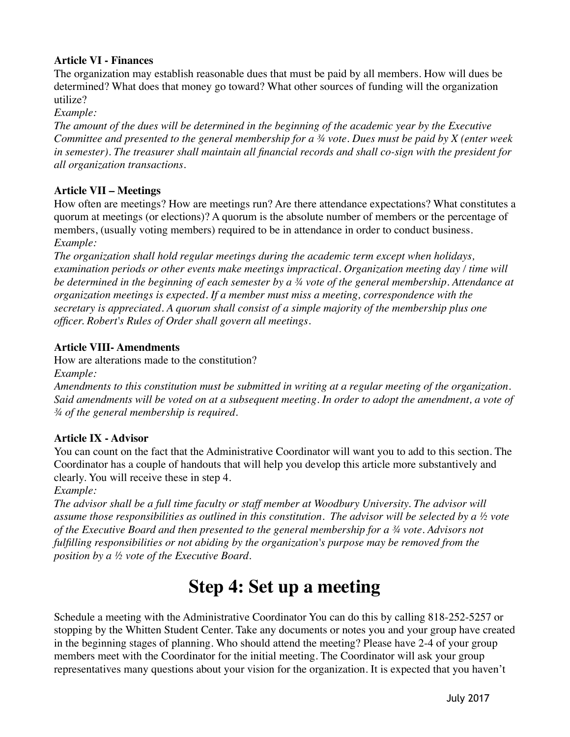#### **Article VI - Finances**

The organization may establish reasonable dues that must be paid by all members. How will dues be determined? What does that money go toward? What other sources of funding will the organization utilize?

*Example:*

*The amount of the dues will be determined in the beginning of the academic year by the Executive Committee and presented to the general membership for a ¾ vote. Dues must be paid by X (enter week in semester). The treasurer shall maintain all financial records and shall co-sign with the president for all organization transactions.*

#### **Article VII – Meetings**

How often are meetings? How are meetings run? Are there attendance expectations? What constitutes a quorum at meetings (or elections)? A quorum is the absolute number of members or the percentage of members, (usually voting members) required to be in attendance in order to conduct business. *Example:*

*The organization shall hold regular meetings during the academic term except when holidays, examination periods or other events make meetings impractical. Organization meeting day / time will be determined in the beginning of each semester by a ¾ vote of the general membership. Attendance at organization meetings is expected. If a member must miss a meeting, correspondence with the secretary is appreciated. A quorum shall consist of a simple majority of the membership plus one officer. Robert's Rules of Order shall govern all meetings.*

#### **Article VIII- Amendments**

How are alterations made to the constitution?

*Example:*

*Amendments to this constitution must be submitted in writing at a regular meeting of the organization. Said amendments will be voted on at a subsequent meeting. In order to adopt the amendment, a vote of ¾ of the general membership is required.*

#### **Article IX - Advisor**

You can count on the fact that the Administrative Coordinator will want you to add to this section. The Coordinator has a couple of handouts that will help you develop this article more substantively and clearly. You will receive these in step 4.

*Example:*

*The advisor shall be a full time faculty or staff member at Woodbury University. The advisor will assume those responsibilities as outlined in this constitution. The advisor will be selected by a ½ vote of the Executive Board and then presented to the general membership for a ¾ vote. Advisors not fulfilling responsibilities or not abiding by the organization's purpose may be removed from the position by a ½ vote of the Executive Board.*

### **Step 4: Set up a meeting**

Schedule a meeting with the Administrative Coordinator You can do this by calling 818-252-5257 or stopping by the Whitten Student Center. Take any documents or notes you and your group have created in the beginning stages of planning. Who should attend the meeting? Please have 2-4 of your group members meet with the Coordinator for the initial meeting. The Coordinator will ask your group representatives many questions about your vision for the organization. It is expected that you haven't